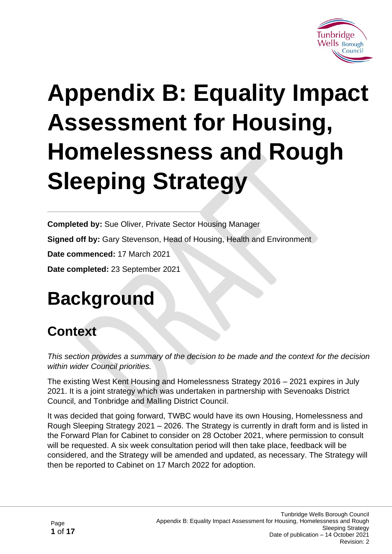

# **Appendix B: Equality Impact Assessment for Housing, Homelessness and Rough Sleeping Strategy**

**Completed by:** Sue Oliver, Private Sector Housing Manager

**Signed off by:** Gary Stevenson, Head of Housing, Health and Environment

**Date commenced:** 17 March 2021

**Date completed:** 23 September 2021

# **Background**

# **Context**

*This section provides a summary of the decision to be made and the context for the decision within wider Council priorities.*

The existing West Kent Housing and Homelessness Strategy 2016 – 2021 expires in July 2021. It is a joint strategy which was undertaken in partnership with Sevenoaks District Council, and Tonbridge and Malling District Council.

It was decided that going forward, TWBC would have its own Housing, Homelessness and Rough Sleeping Strategy 2021 – 2026. The Strategy is currently in draft form and is listed in the Forward Plan for Cabinet to consider on 28 October 2021, where permission to consult will be requested. A six week consultation period will then take place, feedback will be considered, and the Strategy will be amended and updated, as necessary. The Strategy will then be reported to Cabinet on 17 March 2022 for adoption.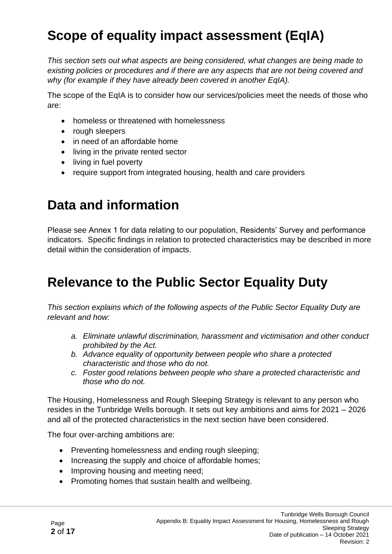# **Scope of equality impact assessment (EqIA)**

*This section sets out what aspects are being considered, what changes are being made to existing policies or procedures and if there are any aspects that are not being covered and why (for example if they have already been covered in another EqIA).*

The scope of the EqIA is to consider how our services/policies meet the needs of those who are:

- homeless or threatened with homelessness
- rough sleepers
- in need of an affordable home
- living in the private rented sector
- living in fuel poverty
- require support from integrated housing, health and care providers

## **Data and information**

Please see Annex 1 for data relating to our population, Residents' Survey and performance indicators. Specific findings in relation to protected characteristics may be described in more detail within the consideration of impacts.

## **Relevance to the Public Sector Equality Duty**

*This section explains which of the following aspects of the Public Sector Equality Duty are relevant and how:*

- *a. Eliminate unlawful discrimination, harassment and victimisation and other conduct prohibited by the Act.*
- *b. Advance equality of opportunity between people who share a protected characteristic and those who do not.*
- *c. Foster good relations between people who share a protected characteristic and those who do not.*

The Housing, Homelessness and Rough Sleeping Strategy is relevant to any person who resides in the Tunbridge Wells borough. It sets out key ambitions and aims for 2021 – 2026 and all of the protected characteristics in the next section have been considered.

The four over-arching ambitions are:

- Preventing homelessness and ending rough sleeping;
- Increasing the supply and choice of affordable homes;
- Improving housing and meeting need;
- Promoting homes that sustain health and wellbeing.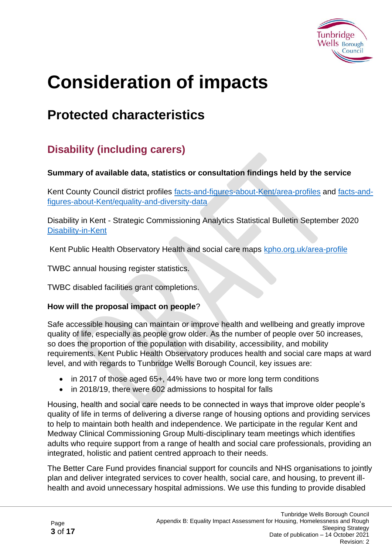

# **Consideration of impacts**

# **Protected characteristics**

## **Disability (including carers)**

#### **Summary of available data, statistics or consultation findings held by the service**

Kent County Council district profiles [facts-and-figures-about-Kent/area-profiles](https://www.kent.gov.uk/about-the-council/information-and-data/facts-and-figures-about-Kent/area-profiles) and [facts-and](https://www.kent.gov.uk/about-the-council/information-and-data/facts-and-figures-about-Kent/equality-and-diversity-data)[figures-about-Kent/equality-and-diversity-data](https://www.kent.gov.uk/about-the-council/information-and-data/facts-and-figures-about-Kent/equality-and-diversity-data)

Disability in Kent - Strategic Commissioning Analytics Statistical Bulletin September 2020 [Disability-in-Kent](https://www.kent.gov.uk/__data/assets/pdf_file/0018/8181/Disability-in-Kent.pdf)

[Kent Public Health Observatory Health and social care maps kpho.org.uk/area-profile](http://atlas.kpho.org.uk/area-profile/atlas.html)

TWBC annual housing register statistics.

TWBC disabled facilities grant completions.

#### **How will the proposal impact on people**?

Safe accessible housing can maintain or improve health and wellbeing and greatly improve quality of life, especially as people grow older. As the number of people over 50 increases, so does the proportion of the population with disability, accessibility, and mobility requirements. Kent Public Health Observatory produces health and social care maps at ward level, and with regards to Tunbridge Wells Borough Council, key issues are:

- in 2017 of those aged 65+, 44% have two or more long term conditions
- in 2018/19, there were 602 admissions to hospital for falls

Housing, health and social care needs to be connected in ways that improve older people's quality of life in terms of delivering a diverse range of housing options and providing services to help to maintain both health and independence. We participate in the regular Kent and Medway Clinical Commissioning Group Multi-disciplinary team meetings which identifies adults who require support from a range of health and social care professionals, providing an integrated, holistic and patient centred approach to their needs.

The Better Care Fund provides financial support for councils and NHS organisations to jointly plan and deliver integrated services to cover health, social care, and housing, to prevent illhealth and avoid unnecessary hospital admissions. We use this funding to provide disabled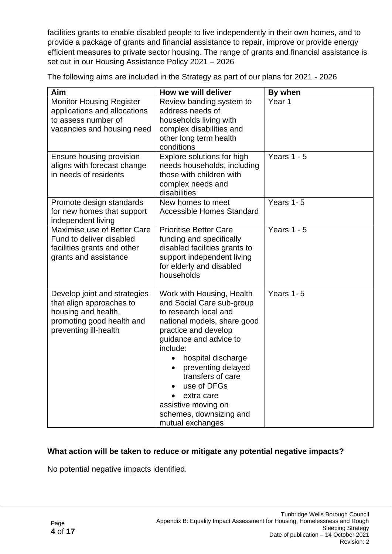facilities grants to enable disabled people to live independently in their own homes, and to provide a package of grants and financial assistance to repair, improve or provide energy efficient measures to private sector housing. The range of grants and financial assistance is set out in our Housing Assistance Policy 2021 – 2026

The following aims are included in the Strategy as part of our plans for 2021 - 2026

| Aim                                                                                                                                   | How we will deliver                                                                                                                                                                                                                                                                                                                                                        | By when       |
|---------------------------------------------------------------------------------------------------------------------------------------|----------------------------------------------------------------------------------------------------------------------------------------------------------------------------------------------------------------------------------------------------------------------------------------------------------------------------------------------------------------------------|---------------|
| <b>Monitor Housing Register</b><br>applications and allocations<br>to assess number of<br>vacancies and housing need                  | Review banding system to<br>address needs of<br>households living with<br>complex disabilities and<br>other long term health<br>conditions                                                                                                                                                                                                                                 | Year 1        |
| Ensure housing provision<br>aligns with forecast change<br>in needs of residents                                                      | Explore solutions for high<br>needs households, including<br>those with children with<br>complex needs and<br>disabilities                                                                                                                                                                                                                                                 | Years $1 - 5$ |
| Promote design standards<br>for new homes that support<br>independent living                                                          | New homes to meet<br><b>Accessible Homes Standard</b>                                                                                                                                                                                                                                                                                                                      | Years 1-5     |
| Maximise use of Better Care<br>Fund to deliver disabled<br>facilities grants and other<br>grants and assistance                       | <b>Prioritise Better Care</b><br>funding and specifically<br>disabled facilities grants to<br>support independent living<br>for elderly and disabled<br>households                                                                                                                                                                                                         | Years $1 - 5$ |
| Develop joint and strategies<br>that align approaches to<br>housing and health,<br>promoting good health and<br>preventing ill-health | Work with Housing, Health<br>and Social Care sub-group<br>to research local and<br>national models, share good<br>practice and develop<br>guidance and advice to<br>include:<br>hospital discharge<br>$\bullet$<br>preventing delayed<br>$\bullet$<br>transfers of care<br>use of DFGs<br>extra care<br>assistive moving on<br>schemes, downsizing and<br>mutual exchanges | Years 1-5     |

#### **What action will be taken to reduce or mitigate any potential negative impacts?**

No potential negative impacts identified.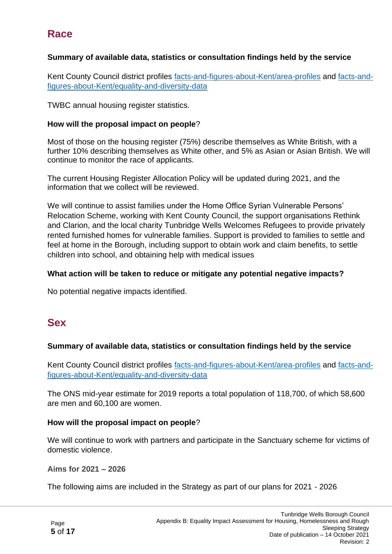## **Race**

#### **Summary of available data, statistics or consultation findings held by the service**

Kent County Council district profiles [facts-and-figures-about-Kent/area-profiles](https://www.kent.gov.uk/about-the-council/information-and-data/facts-and-figures-about-Kent/area-profiles) and [facts-and](https://www.kent.gov.uk/about-the-council/information-and-data/facts-and-figures-about-Kent/equality-and-diversity-data)[figures-about-Kent/equality-and-diversity-data](https://www.kent.gov.uk/about-the-council/information-and-data/facts-and-figures-about-Kent/equality-and-diversity-data)

TWBC annual housing register statistics.

#### **How will the proposal impact on people**?

Most of those on the housing register (75%) describe themselves as White British, with a further 10% describing themselves as White other, and 5% as Asian or Asian British. We will continue to monitor the race of applicants.

The current Housing Register Allocation Policy will be updated during 2021, and the information that we collect will be reviewed.

We will continue to assist families under the Home Office Syrian Vulnerable Persons' Relocation Scheme, working with Kent County Council, the support organisations Rethink and Clarion, and the local charity Tunbridge Wells Welcomes Refugees to provide privately rented furnished homes for vulnerable families. Support is provided to families to settle and feel at home in the Borough, including support to obtain work and claim benefits, to settle children into school, and obtaining help with medical issues

#### **What action will be taken to reduce or mitigate any potential negative impacts?**

No potential negative impacts identified.

### **Sex**

#### **Summary of available data, statistics or consultation findings held by the service**

Kent County Council district profiles [facts-and-figures-about-Kent/area-profiles](https://www.kent.gov.uk/about-the-council/information-and-data/facts-and-figures-about-Kent/area-profiles) and [facts-and](https://www.kent.gov.uk/about-the-council/information-and-data/facts-and-figures-about-Kent/equality-and-diversity-data)[figures-about-Kent/equality-and-diversity-data](https://www.kent.gov.uk/about-the-council/information-and-data/facts-and-figures-about-Kent/equality-and-diversity-data)

The ONS mid-year estimate for 2019 reports a total population of 118,700, of which 58,600 are men and 60,100 are women.

#### **How will the proposal impact on people**?

We will continue to work with partners and participate in the Sanctuary scheme for victims of domestic violence.

**Aims for 2021 – 2026**

The following aims are included in the Strategy as part of our plans for 2021 - 2026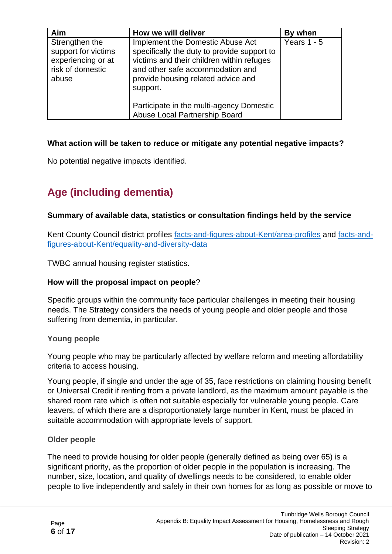| Aim                                                                                      | How we will deliver                                                                                                                                                                                                | By when       |
|------------------------------------------------------------------------------------------|--------------------------------------------------------------------------------------------------------------------------------------------------------------------------------------------------------------------|---------------|
| Strengthen the<br>support for victims<br>experiencing or at<br>risk of domestic<br>abuse | Implement the Domestic Abuse Act<br>specifically the duty to provide support to<br>victims and their children within refuges<br>and other safe accommodation and<br>provide housing related advice and<br>support. | Years $1 - 5$ |
|                                                                                          | Participate in the multi-agency Domestic<br>Abuse Local Partnership Board                                                                                                                                          |               |

No potential negative impacts identified.

## **Age (including dementia)**

#### **Summary of available data, statistics or consultation findings held by the service**

Kent County Council district profiles [facts-and-figures-about-Kent/area-profiles](https://www.kent.gov.uk/about-the-council/information-and-data/facts-and-figures-about-Kent/area-profiles) and [facts-and](https://www.kent.gov.uk/about-the-council/information-and-data/facts-and-figures-about-Kent/equality-and-diversity-data)[figures-about-Kent/equality-and-diversity-data](https://www.kent.gov.uk/about-the-council/information-and-data/facts-and-figures-about-Kent/equality-and-diversity-data)

TWBC annual housing register statistics.

#### **How will the proposal impact on people**?

Specific groups within the community face particular challenges in meeting their housing needs. The Strategy considers the needs of young people and older people and those suffering from dementia, in particular.

#### **Young people**

Young people who may be particularly affected by welfare reform and meeting affordability criteria to access housing.

Young people, if single and under the age of 35, face restrictions on claiming housing benefit or Universal Credit if renting from a private landlord, as the maximum amount payable is the shared room rate which is often not suitable especially for vulnerable young people. Care leavers, of which there are a disproportionately large number in Kent, must be placed in suitable accommodation with appropriate levels of support.

#### **Older people**

The need to provide housing for older people (generally defined as being over 65) is a significant priority, as the proportion of older people in the population is increasing. The number, size, location, and quality of dwellings needs to be considered, to enable older people to live independently and safely in their own homes for as long as possible or move to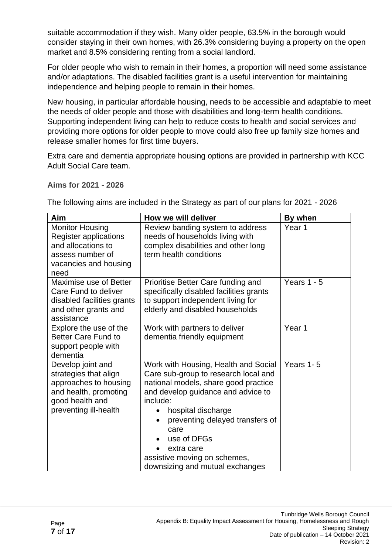suitable accommodation if they wish. Many older people, 63.5% in the borough would consider staying in their own homes, with 26.3% considering buying a property on the open market and 8.5% considering renting from a social landlord.

For older people who wish to remain in their homes, a proportion will need some assistance and/or adaptations. The disabled facilities grant is a useful intervention for maintaining independence and helping people to remain in their homes.

New housing, in particular affordable housing, needs to be accessible and adaptable to meet the needs of older people and those with disabilities and long-term health conditions. Supporting independent living can help to reduce costs to health and social services and providing more options for older people to move could also free up family size homes and release smaller homes for first time buyers.

Extra care and dementia appropriate housing options are provided in partnership with KCC Adult Social Care team.

**Aims for 2021 - 2026**

| Aim                                                                                                                                      | How we will deliver                                                                                                                                                                                                                                                                                                                     | By when           |
|------------------------------------------------------------------------------------------------------------------------------------------|-----------------------------------------------------------------------------------------------------------------------------------------------------------------------------------------------------------------------------------------------------------------------------------------------------------------------------------------|-------------------|
| <b>Monitor Housing</b><br><b>Register applications</b><br>and allocations to<br>assess number of<br>vacancies and housing<br>need        | Review banding system to address<br>needs of households living with<br>complex disabilities and other long<br>term health conditions                                                                                                                                                                                                    | Year <sub>1</sub> |
| Maximise use of Better<br>Care Fund to deliver<br>disabled facilities grants<br>and other grants and<br>assistance                       | Prioritise Better Care funding and<br>specifically disabled facilities grants<br>to support independent living for<br>elderly and disabled households                                                                                                                                                                                   | Years $1 - 5$     |
| Explore the use of the<br><b>Better Care Fund to</b><br>support people with<br>dementia                                                  | Work with partners to deliver<br>dementia friendly equipment                                                                                                                                                                                                                                                                            | Year <sub>1</sub> |
| Develop joint and<br>strategies that align<br>approaches to housing<br>and health, promoting<br>good health and<br>preventing ill-health | Work with Housing, Health and Social<br>Care sub-group to research local and<br>national models, share good practice<br>and develop guidance and advice to<br>include:<br>hospital discharge<br>preventing delayed transfers of<br>care<br>use of DFGs<br>extra care<br>assistive moving on schemes,<br>downsizing and mutual exchanges | Years 1-5         |

The following aims are included in the Strategy as part of our plans for 2021 - 2026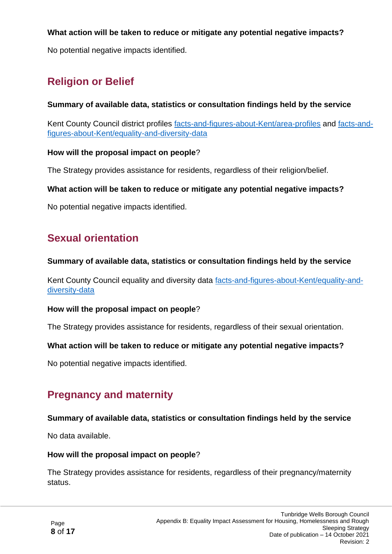No potential negative impacts identified.

## **Religion or Belief**

#### **Summary of available data, statistics or consultation findings held by the service**

Kent County Council district profiles [facts-and-figures-about-Kent/area-profiles](https://www.kent.gov.uk/about-the-council/information-and-data/facts-and-figures-about-Kent/area-profiles) and [facts-and](https://www.kent.gov.uk/about-the-council/information-and-data/facts-and-figures-about-Kent/equality-and-diversity-data)[figures-about-Kent/equality-and-diversity-data](https://www.kent.gov.uk/about-the-council/information-and-data/facts-and-figures-about-Kent/equality-and-diversity-data)

#### **How will the proposal impact on people**?

The Strategy provides assistance for residents, regardless of their religion/belief.

#### **What action will be taken to reduce or mitigate any potential negative impacts?**

No potential negative impacts identified.

## **Sexual orientation**

#### **Summary of available data, statistics or consultation findings held by the service**

Kent County Council equality and diversity data [facts-and-figures-about-Kent/equality-and](https://www.kent.gov.uk/about-the-council/information-and-data/facts-and-figures-about-Kent/equality-and-diversity-data)[diversity-data](https://www.kent.gov.uk/about-the-council/information-and-data/facts-and-figures-about-Kent/equality-and-diversity-data)

#### **How will the proposal impact on people**?

The Strategy provides assistance for residents, regardless of their sexual orientation.

#### **What action will be taken to reduce or mitigate any potential negative impacts?**

No potential negative impacts identified.

## **Pregnancy and maternity**

#### **Summary of available data, statistics or consultation findings held by the service**

No data available.

#### **How will the proposal impact on people**?

The Strategy provides assistance for residents, regardless of their pregnancy/maternity status.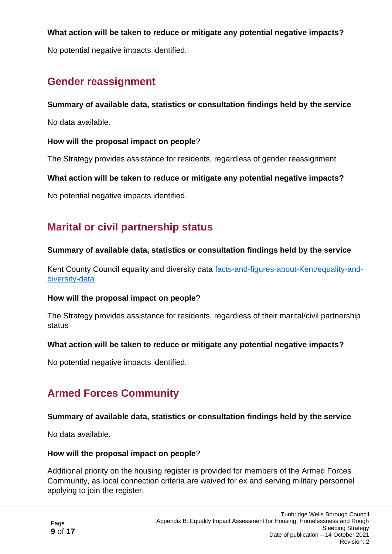No potential negative impacts identified.

## **Gender reassignment**

#### **Summary of available data, statistics or consultation findings held by the service**

No data available.

#### **How will the proposal impact on people**?

The Strategy provides assistance for residents, regardless of gender reassignment

#### **What action will be taken to reduce or mitigate any potential negative impacts?**

No potential negative impacts identified.

## **Marital or civil partnership status**

#### **Summary of available data, statistics or consultation findings held by the service**

Kent County Council equality and diversity data [facts-and-figures-about-Kent/equality-and](https://www.kent.gov.uk/about-the-council/information-and-data/facts-and-figures-about-Kent/equality-and-diversity-data)[diversity-data](https://www.kent.gov.uk/about-the-council/information-and-data/facts-and-figures-about-Kent/equality-and-diversity-data)

#### **How will the proposal impact on people**?

The Strategy provides assistance for residents, regardless of their marital/civil partnership status

#### **What action will be taken to reduce or mitigate any potential negative impacts?**

No potential negative impacts identified.

## **Armed Forces Community**

#### **Summary of available data, statistics or consultation findings held by the service**

No data available.

#### **How will the proposal impact on people**?

Additional priority on the housing register is provided for members of the Armed Forces Community, as local connection criteria are waived for ex and serving military personnel applying to join the register.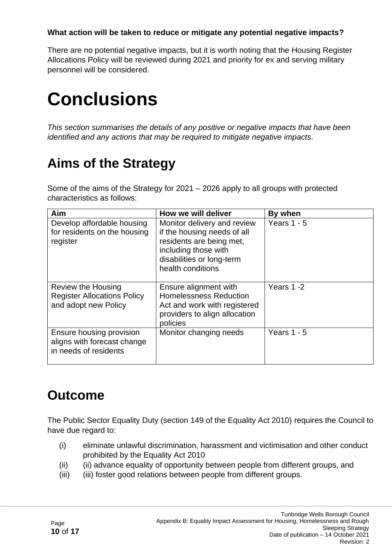There are no potential negative impacts, but it is worth noting that the Housing Register Allocations Policy will be reviewed during 2021 and priority for ex and serving military personnel will be considered.

# **Conclusions**

*This section summarises the details of any positive or negative impacts that have been identified and any actions that may be required to mitigate negative impacts.*

# **Aims of the Strategy**

Some of the aims of the Strategy for 2021 – 2026 apply to all groups with protected characteristics as follows:

| Aim                                                                                     | How we will deliver                                                                                                                                              | By when       |
|-----------------------------------------------------------------------------------------|------------------------------------------------------------------------------------------------------------------------------------------------------------------|---------------|
| Develop affordable housing<br>for residents on the housing<br>register                  | Monitor delivery and review<br>if the housing needs of all<br>residents are being met,<br>including those with<br>disabilities or long-term<br>health conditions | Years $1 - 5$ |
| <b>Review the Housing</b><br><b>Register Allocations Policy</b><br>and adopt new Policy | Ensure alignment with<br><b>Homelessness Reduction</b><br>Act and work with registered<br>providers to align allocation<br>policies                              | Years 1-2     |
| Ensure housing provision<br>aligns with forecast change<br>in needs of residents        | Monitor changing needs                                                                                                                                           | Years $1 - 5$ |

# **Outcome**

The Public Sector Equality Duty (section 149 of the Equality Act 2010) requires the Council to have due regard to:

- (i) eliminate unlawful discrimination, harassment and victimisation and other conduct prohibited by the Equality Act 2010
- (ii) (ii) advance equality of opportunity between people from different groups, and
- (iii) (iii) foster good relations between people from different groups.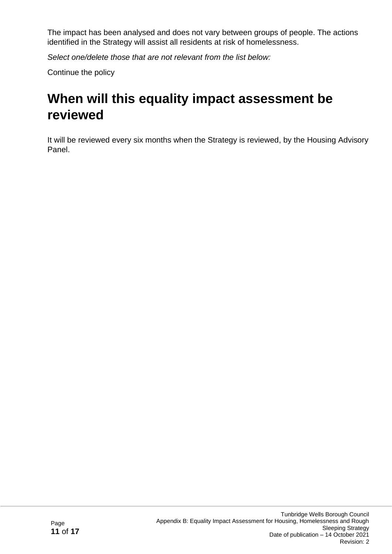The impact has been analysed and does not vary between groups of people. The actions identified in the Strategy will assist all residents at risk of homelessness.

*Select one/delete those that are not relevant from the list below:*

Continue the policy

# **When will this equality impact assessment be reviewed**

It will be reviewed every six months when the Strategy is reviewed, by the Housing Advisory Panel.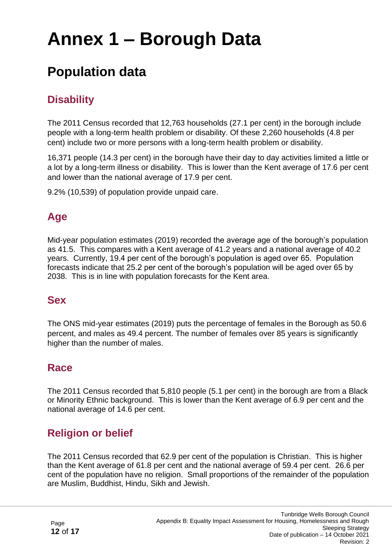# **Annex 1 – Borough Data**

## **Population data**

## **Disability**

The 2011 Census recorded that 12,763 households (27.1 per cent) in the borough include people with a long-term health problem or disability. Of these 2,260 households (4.8 per cent) include two or more persons with a long-term health problem or disability.

16,371 people (14.3 per cent) in the borough have their day to day activities limited a little or a lot by a long-term illness or disability. This is lower than the Kent average of 17.6 per cent and lower than the national average of 17.9 per cent.

9.2% (10,539) of population provide unpaid care.

## **Age**

Mid-year population estimates (2019) recorded the average age of the borough's population as 41.5. This compares with a Kent average of 41.2 years and a national average of 40.2 years. Currently, 19.4 per cent of the borough's population is aged over 65. Population forecasts indicate that 25.2 per cent of the borough's population will be aged over 65 by 2038. This is in line with population forecasts for the Kent area.

## **Sex**

The ONS mid-year estimates (2019) puts the percentage of females in the Borough as 50.6 percent, and males as 49.4 percent. The number of females over 85 years is significantly higher than the number of males.

## **Race**

The 2011 Census recorded that 5,810 people (5.1 per cent) in the borough are from a Black or Minority Ethnic background. This is lower than the Kent average of 6.9 per cent and the national average of 14.6 per cent.

## **Religion or belief**

The 2011 Census recorded that 62.9 per cent of the population is Christian. This is higher than the Kent average of 61.8 per cent and the national average of 59.4 per cent. 26.6 per cent of the population have no religion. Small proportions of the remainder of the population are Muslim, Buddhist, Hindu, Sikh and Jewish.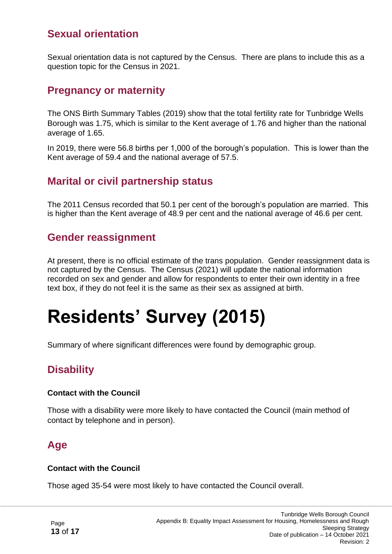## **Sexual orientation**

Sexual orientation data is not captured by the Census. There are plans to include this as a question topic for the Census in 2021.

### **Pregnancy or maternity**

The ONS Birth Summary Tables (2019) show that the total fertility rate for Tunbridge Wells Borough was 1.75, which is similar to the Kent average of 1.76 and higher than the national average of 1.65.

In 2019, there were 56.8 births per 1,000 of the borough's population. This is lower than the Kent average of 59.4 and the national average of 57.5.

## **Marital or civil partnership status**

The 2011 Census recorded that 50.1 per cent of the borough's population are married. This is higher than the Kent average of 48.9 per cent and the national average of 46.6 per cent.

### **Gender reassignment**

At present, there is no official estimate of the trans population. Gender reassignment data is not captured by the Census. The Census (2021) will update the national information recorded on sex and gender and allow for respondents to enter their own identity in a free text box, if they do not feel it is the same as their sex as assigned at birth.

# **Residents' Survey (2015)**

Summary of where significant differences were found by demographic group.

## **Disability**

#### **Contact with the Council**

Those with a disability were more likely to have contacted the Council (main method of contact by telephone and in person).

## **Age**

#### **Contact with the Council**

Those aged 35-54 were most likely to have contacted the Council overall.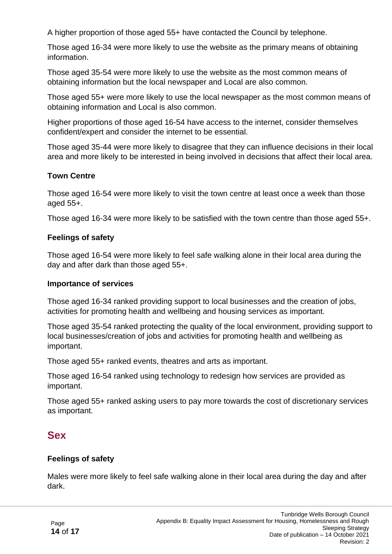A higher proportion of those aged 55+ have contacted the Council by telephone.

Those aged 16-34 were more likely to use the website as the primary means of obtaining information.

Those aged 35-54 were more likely to use the website as the most common means of obtaining information but the local newspaper and Local are also common.

Those aged 55+ were more likely to use the local newspaper as the most common means of obtaining information and Local is also common.

Higher proportions of those aged 16-54 have access to the internet, consider themselves confident/expert and consider the internet to be essential.

Those aged 35-44 were more likely to disagree that they can influence decisions in their local area and more likely to be interested in being involved in decisions that affect their local area.

#### **Town Centre**

Those aged 16-54 were more likely to visit the town centre at least once a week than those aged 55+.

Those aged 16-34 were more likely to be satisfied with the town centre than those aged 55+.

#### **Feelings of safety**

Those aged 16-54 were more likely to feel safe walking alone in their local area during the day and after dark than those aged 55+.

#### **Importance of services**

Those aged 16-34 ranked providing support to local businesses and the creation of jobs, activities for promoting health and wellbeing and housing services as important.

Those aged 35-54 ranked protecting the quality of the local environment, providing support to local businesses/creation of jobs and activities for promoting health and wellbeing as important.

Those aged 55+ ranked events, theatres and arts as important.

Those aged 16-54 ranked using technology to redesign how services are provided as important.

Those aged 55+ ranked asking users to pay more towards the cost of discretionary services as important.

### **Sex**

#### **Feelings of safety**

Males were more likely to feel safe walking alone in their local area during the day and after dark.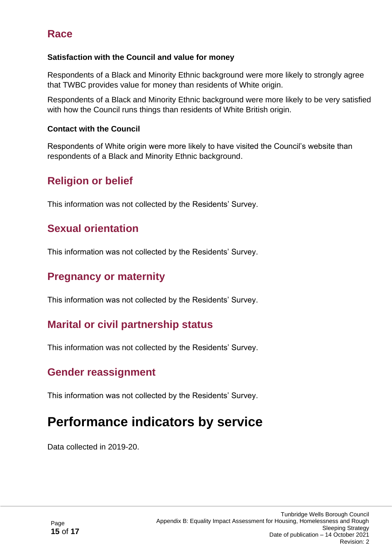## **Race**

#### **Satisfaction with the Council and value for money**

Respondents of a Black and Minority Ethnic background were more likely to strongly agree that TWBC provides value for money than residents of White origin.

Respondents of a Black and Minority Ethnic background were more likely to be very satisfied with how the Council runs things than residents of White British origin.

#### **Contact with the Council**

Respondents of White origin were more likely to have visited the Council's website than respondents of a Black and Minority Ethnic background.

## **Religion or belief**

This information was not collected by the Residents' Survey.

## **Sexual orientation**

This information was not collected by the Residents' Survey.

## **Pregnancy or maternity**

This information was not collected by the Residents' Survey.

## **Marital or civil partnership status**

This information was not collected by the Residents' Survey.

## **Gender reassignment**

This information was not collected by the Residents' Survey.

## **Performance indicators by service**

Data collected in 2019-20.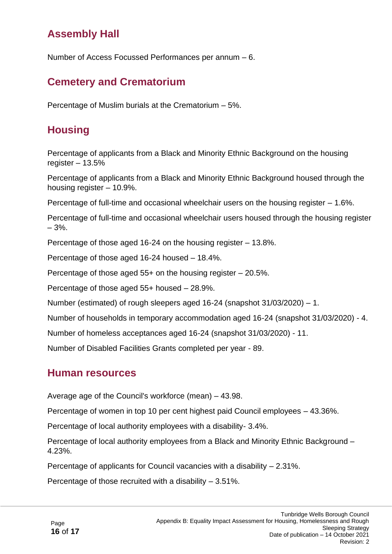## **Assembly Hall**

Number of Access Focussed Performances per annum – 6.

## **Cemetery and Crematorium**

Percentage of Muslim burials at the Crematorium – 5%.

## **Housing**

Percentage of applicants from a Black and Minority Ethnic Background on the housing register  $-13.5%$ 

Percentage of applicants from a Black and Minority Ethnic Background housed through the housing register – 10.9%.

Percentage of full-time and occasional wheelchair users on the housing register – 1.6%.

Percentage of full-time and occasional wheelchair users housed through the housing register – 3%.

Percentage of those aged 16-24 on the housing register – 13.8%.

Percentage of those aged 16-24 housed – 18.4%.

Percentage of those aged 55+ on the housing register – 20.5%.

Percentage of those aged 55+ housed – 28.9%.

Number (estimated) of rough sleepers aged 16-24 (snapshot 31/03/2020) – 1.

Number of households in temporary accommodation aged 16-24 (snapshot 31/03/2020) - 4.

Number of homeless acceptances aged 16-24 (snapshot 31/03/2020) - 11.

Number of Disabled Facilities Grants completed per year - 89.

### **Human resources**

Average age of the Council's workforce (mean) – 43.98.

Percentage of women in top 10 per cent highest paid Council employees – 43.36%.

Percentage of local authority employees with a disability- 3.4%.

Percentage of local authority employees from a Black and Minority Ethnic Background – 4.23%.

Percentage of applicants for Council vacancies with a disability – 2.31%.

Percentage of those recruited with a disability – 3.51%.